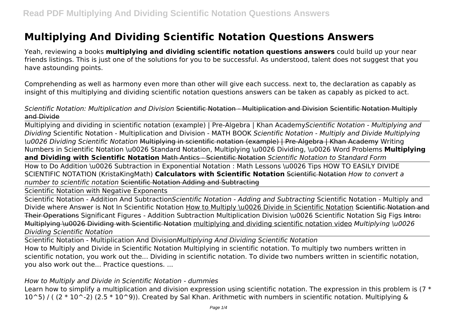# **Multiplying And Dividing Scientific Notation Questions Answers**

Yeah, reviewing a books **multiplying and dividing scientific notation questions answers** could build up your near friends listings. This is just one of the solutions for you to be successful. As understood, talent does not suggest that you have astounding points.

Comprehending as well as harmony even more than other will give each success. next to, the declaration as capably as insight of this multiplying and dividing scientific notation questions answers can be taken as capably as picked to act.

*Scientific Notation: Multiplication and Division* Scientific Notation - Multiplication and Division Scientific Notation Multiply and Divide

Multiplying and dividing in scientific notation (example) | Pre-Algebra | Khan Academy*Scientific Notation - Multiplying and Dividing* Scientific Notation - Multiplication and Division - MATH BOOK *Scientific Notation - Multiply and Divide Multiplying \u0026 Dividing Scientific Notation* Multiplying in scientific notation (example) | Pre-Algebra | Khan Academy Writing Numbers in Scientific Notation \u0026 Standard Notation, Multiplying \u0026 Dividing, \u0026 Word Problems **Multiplying and Dividing with Scientific Notation** Math Antics - Scientific Notation *Scientific Notation to Standard Form*

How to Do Addition \u0026 Subtraction in Exponential Notation : Math Lessons \u0026 Tips HOW TO EASILY DIVIDE SCIENTIFIC NOTATION (KristaKingMath) **Calculators with Scientific Notation** Scientific Notation *How to convert a number to scientific notation* Scientific Notation Adding and Subtracting

Scientific Notation with Negative Exponents

Scientific Notation - Addition And Subtraction*Scientific Notation - Adding and Subtracting* Scientific Notation - Multiply and Divide where Answer is Not In Scientific Notation How to Multiply \u0026 Divide in Scientific Notation Scientific Notation and Their Operations Significant Figures - Addition Subtraction Multiplication Division \u0026 Scientific Notation Sig Figs Intro: Multiplying \u0026 Dividing with Scientific Notation multiplying and dividing scientific notation video *Multiplying \u0026 Dividing Scientific Notation*

Scientific Notation - Multiplication And Division*Multiplying And Dividing Scientific Notation* How to Multiply and Divide in Scientific Notation Multiplying in scientific notation. To multiply two numbers written in scientific notation, you work out the... Dividing in scientific notation. To divide two numbers written in scientific notation, you also work out the... Practice questions. ...

#### *How to Multiply and Divide in Scientific Notation - dummies*

Learn how to simplify a multiplication and division expression using scientific notation. The expression in this problem is  $(7 *$  $10^{\circ}$ 5) / ( (2 \* 10^-2) (2.5 \* 10^9)). Created by Sal Khan. Arithmetic with numbers in scientific notation. Multiplying &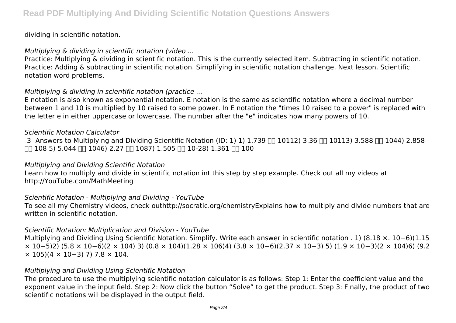#### dividing in scientific notation.

### *Multiplying & dividing in scientific notation (video ...*

Practice: Multiplying & dividing in scientific notation. This is the currently selected item. Subtracting in scientific notation. Practice: Adding & subtracting in scientific notation. Simplifying in scientific notation challenge. Next lesson. Scientific notation word problems.

# *Multiplying & dividing in scientific notation (practice ...*

E notation is also known as exponential notation. E notation is the same as scientific notation where a decimal number between 1 and 10 is multiplied by 10 raised to some power. In E notation the "times 10 raised to a power" is replaced with the letter e in either uppercase or lowercase. The number after the "e" indicates how many powers of 10.

### *Scientific Notation Calculator*

 $-3$ - Answers to Multiplying and Dividing Scientific Notation (ID: 1) 1) 1.739 N 10112) 3.36 N 10113) 3.588 N 1044) 2.858  $\Pi$  108 5) 5.044  $\Pi$  1046) 2.27  $\Pi$  1087) 1.505  $\Pi$  10-28) 1.361  $\Pi$  100

# *Multiplying and Dividing Scientific Notation*

Learn how to multiply and divide in scientific notation int this step by step example. Check out all my videos at http://YouTube.com/MathMeeting

# *Scientific Notation - Multiplying and Dividing - YouTube*

To see all my Chemistry videos, check outhttp://socratic.org/chemistryExplains how to multiply and divide numbers that are written in scientific notation.

#### *Scientific Notation: Multiplication and Division - YouTube*

Multiplying and Dividing Using Scientific Notation. Simplify. Write each answer in scientific notation . 1) (8.18 ×. 10−6)(1.15 × 10−5)2) (5.8 × 10−6)(2 × 104) 3) (0.8 × 104)(1.28 × 106)4) (3.8 × 10−6)(2.37 × 10−3) 5) (1.9 × 10−3)(2 × 104)6) (9.2  $\times$  105)(4  $\times$  10−3) 7) 7.8  $\times$  104.

#### *Multiplying and Dividing Using Scientific Notation*

The procedure to use the multiplying scientific notation calculator is as follows: Step 1: Enter the coefficient value and the exponent value in the input field. Step 2: Now click the button "Solve" to get the product. Step 3: Finally, the product of two scientific notations will be displayed in the output field.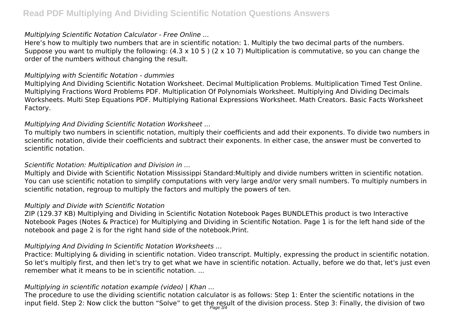# **Read PDF Multiplying And Dividing Scientific Notation Questions Answers**

#### *Multiplying Scientific Notation Calculator - Free Online ...*

Here's how to multiply two numbers that are in scientific notation: 1. Multiply the two decimal parts of the numbers. Suppose you want to multiply the following: (4.3 x 10 5 ) (2 x 10 7) Multiplication is commutative, so you can change the order of the numbers without changing the result.

#### *Multiplying with Scientific Notation - dummies*

Multiplying And Dividing Scientific Notation Worksheet. Decimal Multiplication Problems. Multiplication Timed Test Online. Multiplying Fractions Word Problems PDF. Multiplication Of Polynomials Worksheet. Multiplying And Dividing Decimals Worksheets. Multi Step Equations PDF. Multiplying Rational Expressions Worksheet. Math Creators. Basic Facts Worksheet Factory.

### *Multiplying And Dividing Scientific Notation Worksheet ...*

To multiply two numbers in scientific notation, multiply their coefficients and add their exponents. To divide two numbers in scientific notation, divide their coefficients and subtract their exponents. In either case, the answer must be converted to scientific notation.

# *Scientific Notation: Multiplication and Division in ...*

Multiply and Divide with Scientific Notation Mississippi Standard:Multiply and divide numbers written in scientific notation. You can use scientific notation to simplify computations with very large and/or very small numbers. To multiply numbers in scientific notation, regroup to multiply the factors and multiply the powers of ten.

#### *Multiply and Divide with Scientific Notation*

ZIP (129.37 KB) Multiplying and Dividing in Scientific Notation Notebook Pages BUNDLEThis product is two Interactive Notebook Pages (Notes & Practice) for Multiplying and Dividing in Scientific Notation. Page 1 is for the left hand side of the notebook and page 2 is for the right hand side of the notebook.Print.

# *Multiplying And Dividing In Scientific Notation Worksheets ...*

Practice: Multiplying & dividing in scientific notation. Video transcript. Multiply, expressing the product in scientific notation. So let's multiply first, and then let's try to get what we have in scientific notation. Actually, before we do that, let's just even remember what it means to be in scientific notation

# *Multiplying in scientific notation example (video) | Khan ...*

The procedure to use the dividing scientific notation calculator is as follows: Step 1: Enter the scientific notations in the input field. Step 2: Now click the button "Solve" to get the result of the division process. Step 3: Finally, the division of two